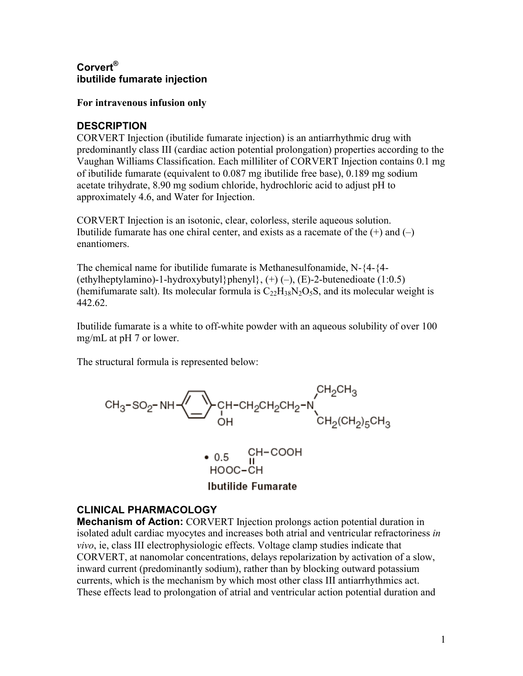# **Corvert® ibutilide fumarate injection**

#### **For intravenous infusion only**

#### **DESCRIPTION**

CORVERT Injection (ibutilide fumarate injection) is an antiarrhythmic drug with predominantly class III (cardiac action potential prolongation) properties according to the Vaughan Williams Classification. Each milliliter of CORVERT Injection contains 0.1 mg of ibutilide fumarate (equivalent to 0.087 mg ibutilide free base), 0.189 mg sodium acetate trihydrate, 8.90 mg sodium chloride, hydrochloric acid to adjust pH to approximately 4.6, and Water for Injection.

CORVERT Injection is an isotonic, clear, colorless, sterile aqueous solution. Ibutilide fumarate has one chiral center, and exists as a racemate of the  $(+)$  and  $(-)$ enantiomers.

The chemical name for ibutilide fumarate is Methanesulfonamide, N-{4-{4- (ethylheptylamino)-1-hydroxybutyl}phenyl},  $(+)$  (-),  $(E)$ -2-butenedioate (1:0.5) (hemifumarate salt). Its molecular formula is  $C_{22}H_{38}N_2O_5S$ , and its molecular weight is 442.62.

Ibutilide fumarate is a white to off-white powder with an aqueous solubility of over 100 mg/mL at pH 7 or lower.

The structural formula is represented below:





# **CLINICAL PHARMACOLOGY**

**Mechanism of Action:** CORVERT Injection prolongs action potential duration in isolated adult cardiac myocytes and increases both atrial and ventricular refractoriness *in vivo*, ie, class III electrophysiologic effects. Voltage clamp studies indicate that CORVERT, at nanomolar concentrations, delays repolarization by activation of a slow, inward current (predominantly sodium), rather than by blocking outward potassium currents, which is the mechanism by which most other class III antiarrhythmics act. These effects lead to prolongation of atrial and ventricular action potential duration and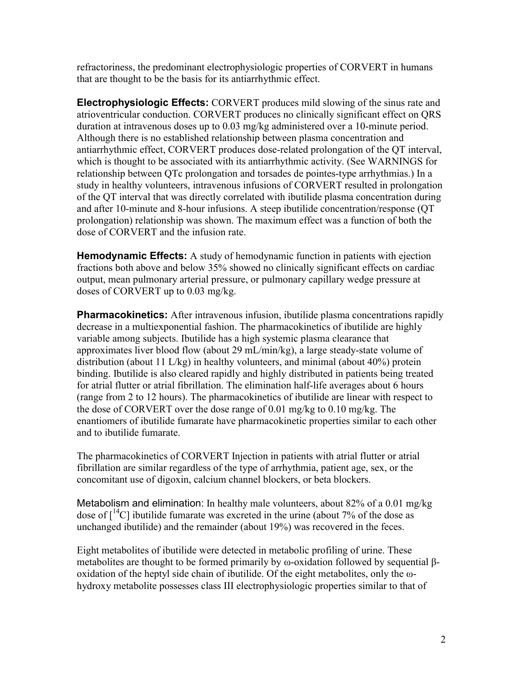refractoriness, the predominant electrophysiologic properties of CORVERT in humans that are thought to be the basis for its antiarrhythmic effect.

**Electrophysiologic Effects:** CORVERT produces mild slowing of the sinus rate and atrioventricular conduction. CORVERT produces no clinically significant effect on QRS duration at intravenous doses up to 0.03 mg/kg administered over a 10-minute period. Although there is no established relationship between plasma concentration and antiarrhythmic effect, CORVERT produces dose-related prolongation of the QT interval, which is thought to be associated with its antiarrhythmic activity. (See WARNINGS for relationship between QTc prolongation and torsades de pointes-type arrhythmias.) In a study in healthy volunteers, intravenous infusions of CORVERT resulted in prolongation of the QT interval that was directly correlated with ibutilide plasma concentration during and after 10-minute and 8-hour infusions. A steep ibutilide concentration/response (QT prolongation) relationship was shown. The maximum effect was a function of both the dose of CORVERT and the infusion rate.

**Hemodynamic Effects:** A study of hemodynamic function in patients with ejection fractions both above and below 35% showed no clinically significant effects on cardiac output, mean pulmonary arterial pressure, or pulmonary capillary wedge pressure at doses of CORVERT up to 0.03 mg/kg.

**Pharmacokinetics:** After intravenous infusion, ibutilide plasma concentrations rapidly decrease in a multiexponential fashion. The pharmacokinetics of ibutilide are highly variable among subjects. Ibutilide has a high systemic plasma clearance that approximates liver blood flow (about 29 mL/min/kg), a large steady-state volume of distribution (about 11 L/kg) in healthy volunteers, and minimal (about 40%) protein binding. Ibutilide is also cleared rapidly and highly distributed in patients being treated for atrial flutter or atrial fibrillation. The elimination half-life averages about 6 hours (range from 2 to 12 hours). The pharmacokinetics of ibutilide are linear with respect to the dose of CORVERT over the dose range of 0.01 mg/kg to 0.10 mg/kg. The enantiomers of ibutilide fumarate have pharmacokinetic properties similar to each other and to ibutilide fumarate.

The pharmacokinetics of CORVERT Injection in patients with atrial flutter or atrial fibrillation are similar regardless of the type of arrhythmia, patient age, sex, or the concomitant use of digoxin, calcium channel blockers, or beta blockers.

Metabolism and elimination: In healthy male volunteers, about 82% of a 0.01 mg/kg dose of  $\lceil^{14}C\rceil$  ibutilide fumarate was excreted in the urine (about 7% of the dose as unchanged ibutilide) and the remainder (about 19%) was recovered in the feces.

Eight metabolites of ibutilide were detected in metabolic profiling of urine. These metabolites are thought to be formed primarily by ω-oxidation followed by sequential βoxidation of the heptyl side chain of ibutilide. Of the eight metabolites, only the ωhydroxy metabolite possesses class III electrophysiologic properties similar to that of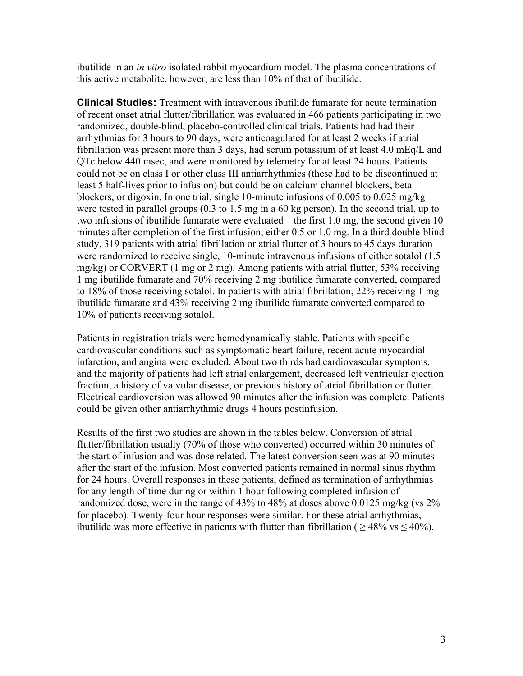ibutilide in an *in vitro* isolated rabbit myocardium model. The plasma concentrations of this active metabolite, however, are less than 10% of that of ibutilide.

**Clinical Studies:** Treatment with intravenous ibutilide fumarate for acute termination of recent onset atrial flutter/fibrillation was evaluated in 466 patients participating in two randomized, double-blind, placebo-controlled clinical trials. Patients had had their arrhythmias for 3 hours to 90 days, were anticoagulated for at least 2 weeks if atrial fibrillation was present more than 3 days, had serum potassium of at least 4.0 mEq/L and QTc below 440 msec, and were monitored by telemetry for at least 24 hours. Patients could not be on class I or other class III antiarrhythmics (these had to be discontinued at least 5 half-lives prior to infusion) but could be on calcium channel blockers, beta blockers, or digoxin. In one trial, single 10-minute infusions of 0.005 to 0.025 mg/kg were tested in parallel groups (0.3 to 1.5 mg in a 60 kg person). In the second trial, up to two infusions of ibutilide fumarate were evaluated—the first 1.0 mg, the second given 10 minutes after completion of the first infusion, either 0.5 or 1.0 mg. In a third double-blind study, 319 patients with atrial fibrillation or atrial flutter of 3 hours to 45 days duration were randomized to receive single, 10-minute intravenous infusions of either sotalol (1.5 mg/kg) or CORVERT (1 mg or 2 mg). Among patients with atrial flutter, 53% receiving 1 mg ibutilide fumarate and 70% receiving 2 mg ibutilide fumarate converted, compared to 18% of those receiving sotalol. In patients with atrial fibrillation, 22% receiving 1 mg ibutilide fumarate and 43% receiving 2 mg ibutilide fumarate converted compared to 10% of patients receiving sotalol.

Patients in registration trials were hemodynamically stable. Patients with specific cardiovascular conditions such as symptomatic heart failure, recent acute myocardial infarction, and angina were excluded. About two thirds had cardiovascular symptoms, and the majority of patients had left atrial enlargement, decreased left ventricular ejection fraction, a history of valvular disease, or previous history of atrial fibrillation or flutter. Electrical cardioversion was allowed 90 minutes after the infusion was complete. Patients could be given other antiarrhythmic drugs 4 hours postinfusion.

Results of the first two studies are shown in the tables below. Conversion of atrial flutter/fibrillation usually (70% of those who converted) occurred within 30 minutes of the start of infusion and was dose related. The latest conversion seen was at 90 minutes after the start of the infusion. Most converted patients remained in normal sinus rhythm for 24 hours. Overall responses in these patients, defined as termination of arrhythmias for any length of time during or within 1 hour following completed infusion of randomized dose, were in the range of 43% to 48% at doses above 0.0125 mg/kg (vs 2% for placebo). Twenty-four hour responses were similar. For these atrial arrhythmias, ibutilide was more effective in patients with flutter than fibrillation ( $\geq 48\%$  vs  $\leq 40\%$ ).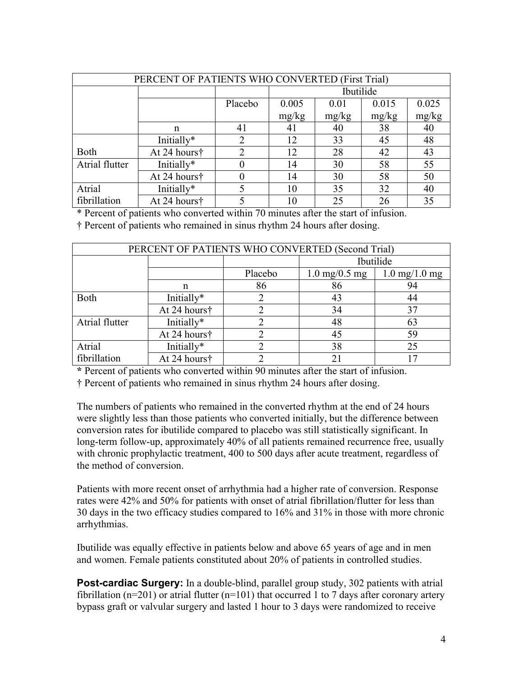| PERCENT OF PATIENTS WHO CONVERTED (First Trial) |              |         |           |       |       |       |
|-------------------------------------------------|--------------|---------|-----------|-------|-------|-------|
|                                                 |              |         | Ibutilide |       |       |       |
|                                                 |              | Placebo | 0.005     | 0.01  | 0.015 | 0.025 |
|                                                 |              |         | mg/kg     | mg/kg | mg/kg | mg/kg |
|                                                 | n            | 41      | 41        | 40    | 38    | 40    |
|                                                 | Initially*   | 2       | 12        | 33    | 45    | 48    |
| Both                                            | At 24 hours† | 2       | 12        | 28    | 42    | 43    |
| Atrial flutter                                  | Initially*   |         | 14        | 30    | 58    | 55    |
|                                                 | At 24 hours† |         | 14        | 30    | 58    | 50    |
| Atrial                                          | Initially*   |         | 10        | 35    | 32    | 40    |
| fibrillation                                    | At 24 hours† |         | 10        | 25    | 26    | 35    |

\* Percent of patients who converted within 70 minutes after the start of infusion.

† Percent of patients who remained in sinus rhythm 24 hours after dosing.

| PERCENT OF PATIENTS WHO CONVERTED (Second Trial) |              |         |                                 |                                       |  |
|--------------------------------------------------|--------------|---------|---------------------------------|---------------------------------------|--|
|                                                  |              |         | Ibutilide                       |                                       |  |
|                                                  |              | Placebo | $1.0 \text{ mg}/0.5 \text{ mg}$ | $1.0 \,\mathrm{mg}/1.0 \,\mathrm{mg}$ |  |
|                                                  | n            | 86      | 86                              | 94                                    |  |
| Both                                             | Initially*   |         | 43                              | 44                                    |  |
|                                                  | At 24 hours† |         | 34                              | 37                                    |  |
| Atrial flutter                                   | Initially*   |         | 48                              | 63                                    |  |
|                                                  | At 24 hours† |         | 45                              | 59                                    |  |
| Atrial                                           | Initially*   |         | 38                              | 25                                    |  |
| fibrillation                                     | At 24 hours† |         | 21                              |                                       |  |

**\*** Percent of patients who converted within 90 minutes after the start of infusion.

† Percent of patients who remained in sinus rhythm 24 hours after dosing.

The numbers of patients who remained in the converted rhythm at the end of 24 hours were slightly less than those patients who converted initially, but the difference between conversion rates for ibutilide compared to placebo was still statistically significant. In long-term follow-up, approximately 40% of all patients remained recurrence free, usually with chronic prophylactic treatment, 400 to 500 days after acute treatment, regardless of the method of conversion.

Patients with more recent onset of arrhythmia had a higher rate of conversion. Response rates were 42% and 50% for patients with onset of atrial fibrillation/flutter for less than 30 days in the two efficacy studies compared to 16% and 31% in those with more chronic arrhythmias.

Ibutilide was equally effective in patients below and above 65 years of age and in men and women. Female patients constituted about 20% of patients in controlled studies.

**Post-cardiac Surgery:** In a double-blind, parallel group study, 302 patients with atrial fibrillation (n=201) or atrial flutter (n=101) that occurred 1 to 7 days after coronary artery bypass graft or valvular surgery and lasted 1 hour to 3 days were randomized to receive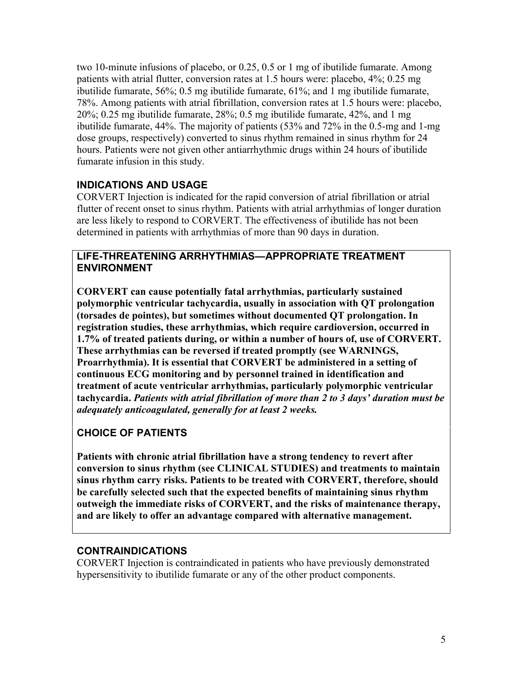two 10-minute infusions of placebo, or 0.25, 0.5 or 1 mg of ibutilide fumarate. Among patients with atrial flutter, conversion rates at 1.5 hours were: placebo, 4%; 0.25 mg ibutilide fumarate, 56%; 0.5 mg ibutilide fumarate, 61%; and 1 mg ibutilide fumarate, 78%. Among patients with atrial fibrillation, conversion rates at 1.5 hours were: placebo, 20%; 0.25 mg ibutilide fumarate, 28%; 0.5 mg ibutilide fumarate, 42%, and 1 mg ibutilide fumarate, 44%. The majority of patients (53% and 72% in the 0.5-mg and 1-mg dose groups, respectively) converted to sinus rhythm remained in sinus rhythm for 24 hours. Patients were not given other antiarrhythmic drugs within 24 hours of ibutilide fumarate infusion in this study.

# **INDICATIONS AND USAGE**

CORVERT Injection is indicated for the rapid conversion of atrial fibrillation or atrial flutter of recent onset to sinus rhythm. Patients with atrial arrhythmias of longer duration are less likely to respond to CORVERT. The effectiveness of ibutilide has not been determined in patients with arrhythmias of more than 90 days in duration.

#### **LIFE-THREATENING ARRHYTHMIAS—APPROPRIATE TREATMENT ENVIRONMENT**

**CORVERT can cause potentially fatal arrhythmias, particularly sustained polymorphic ventricular tachycardia, usually in association with QT prolongation (torsades de pointes), but sometimes without documented QT prolongation. In registration studies, these arrhythmias, which require cardioversion, occurred in 1.7% of treated patients during, or within a number of hours of, use of CORVERT. These arrhythmias can be reversed if treated promptly (see WARNINGS, Proarrhythmia). It is essential that CORVERT be administered in a setting of continuous ECG monitoring and by personnel trained in identification and treatment of acute ventricular arrhythmias, particularly polymorphic ventricular tachycardia.** *Patients with atrial fibrillation of more than 2 to 3 days' duration must be adequately anticoagulated, generally for at least 2 weeks.*

# **CHOICE OF PATIENTS**

**Patients with chronic atrial fibrillation have a strong tendency to revert after conversion to sinus rhythm (see CLINICAL STUDIES) and treatments to maintain sinus rhythm carry risks. Patients to be treated with CORVERT, therefore, should be carefully selected such that the expected benefits of maintaining sinus rhythm outweigh the immediate risks of CORVERT, and the risks of maintenance therapy, and are likely to offer an advantage compared with alternative management.**

# **CONTRAINDICATIONS**

CORVERT Injection is contraindicated in patients who have previously demonstrated hypersensitivity to ibutilide fumarate or any of the other product components.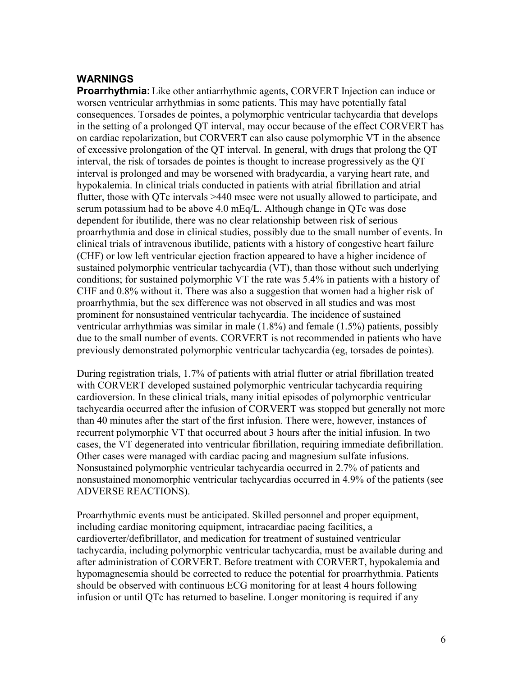#### **WARNINGS**

**Proarrhythmia:** Like other antiarrhythmic agents, CORVERT Injection can induce or worsen ventricular arrhythmias in some patients. This may have potentially fatal consequences. Torsades de pointes, a polymorphic ventricular tachycardia that develops in the setting of a prolonged QT interval, may occur because of the effect CORVERT has on cardiac repolarization, but CORVERT can also cause polymorphic VT in the absence of excessive prolongation of the QT interval. In general, with drugs that prolong the QT interval, the risk of torsades de pointes is thought to increase progressively as the QT interval is prolonged and may be worsened with bradycardia, a varying heart rate, and hypokalemia. In clinical trials conducted in patients with atrial fibrillation and atrial flutter, those with QTc intervals >440 msec were not usually allowed to participate, and serum potassium had to be above 4.0 mEq/L. Although change in QTc was dose dependent for ibutilide, there was no clear relationship between risk of serious proarrhythmia and dose in clinical studies, possibly due to the small number of events. In clinical trials of intravenous ibutilide, patients with a history of congestive heart failure (CHF) or low left ventricular ejection fraction appeared to have a higher incidence of sustained polymorphic ventricular tachycardia (VT), than those without such underlying conditions; for sustained polymorphic VT the rate was 5.4% in patients with a history of CHF and 0.8% without it. There was also a suggestion that women had a higher risk of proarrhythmia, but the sex difference was not observed in all studies and was most prominent for nonsustained ventricular tachycardia. The incidence of sustained ventricular arrhythmias was similar in male (1.8%) and female (1.5%) patients, possibly due to the small number of events. CORVERT is not recommended in patients who have previously demonstrated polymorphic ventricular tachycardia (eg, torsades de pointes).

During registration trials, 1.7% of patients with atrial flutter or atrial fibrillation treated with CORVERT developed sustained polymorphic ventricular tachycardia requiring cardioversion. In these clinical trials, many initial episodes of polymorphic ventricular tachycardia occurred after the infusion of CORVERT was stopped but generally not more than 40 minutes after the start of the first infusion. There were, however, instances of recurrent polymorphic VT that occurred about 3 hours after the initial infusion. In two cases, the VT degenerated into ventricular fibrillation, requiring immediate defibrillation. Other cases were managed with cardiac pacing and magnesium sulfate infusions. Nonsustained polymorphic ventricular tachycardia occurred in 2.7% of patients and nonsustained monomorphic ventricular tachycardias occurred in 4.9% of the patients (see ADVERSE REACTIONS).

Proarrhythmic events must be anticipated. Skilled personnel and proper equipment, including cardiac monitoring equipment, intracardiac pacing facilities, a cardioverter/defibrillator, and medication for treatment of sustained ventricular tachycardia, including polymorphic ventricular tachycardia, must be available during and after administration of CORVERT. Before treatment with CORVERT, hypokalemia and hypomagnesemia should be corrected to reduce the potential for proarrhythmia. Patients should be observed with continuous ECG monitoring for at least 4 hours following infusion or until QTc has returned to baseline. Longer monitoring is required if any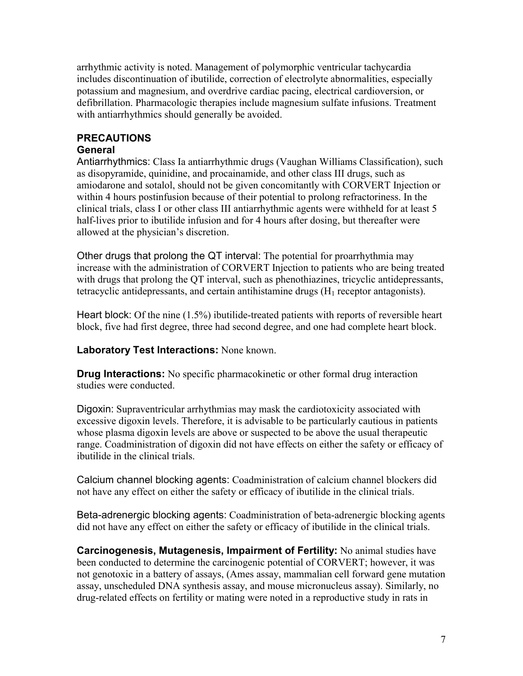arrhythmic activity is noted. Management of polymorphic ventricular tachycardia includes discontinuation of ibutilide, correction of electrolyte abnormalities, especially potassium and magnesium, and overdrive cardiac pacing, electrical cardioversion, or defibrillation. Pharmacologic therapies include magnesium sulfate infusions. Treatment with antiarrhythmics should generally be avoided.

# **PRECAUTIONS**

## **General**

Antiarrhythmics: Class Ia antiarrhythmic drugs (Vaughan Williams Classification), such as disopyramide, quinidine, and procainamide, and other class III drugs, such as amiodarone and sotalol, should not be given concomitantly with CORVERT Injection or within 4 hours postinfusion because of their potential to prolong refractoriness. In the clinical trials, class I or other class III antiarrhythmic agents were withheld for at least 5 half-lives prior to ibutilide infusion and for 4 hours after dosing, but thereafter were allowed at the physician's discretion.

Other drugs that prolong the QT interval: The potential for proarrhythmia may increase with the administration of CORVERT Injection to patients who are being treated with drugs that prolong the QT interval, such as phenothiazines, tricyclic antidepressants, tetracyclic antidepressants, and certain antihistamine drugs  $(H_1)$  receptor antagonists).

Heart block: Of the nine (1.5%) ibutilide-treated patients with reports of reversible heart block, five had first degree, three had second degree, and one had complete heart block.

**Laboratory Test Interactions:** None known.

**Drug Interactions:** No specific pharmacokinetic or other formal drug interaction studies were conducted.

Digoxin: Supraventricular arrhythmias may mask the cardiotoxicity associated with excessive digoxin levels. Therefore, it is advisable to be particularly cautious in patients whose plasma digoxin levels are above or suspected to be above the usual therapeutic range. Coadministration of digoxin did not have effects on either the safety or efficacy of ibutilide in the clinical trials.

Calcium channel blocking agents: Coadministration of calcium channel blockers did not have any effect on either the safety or efficacy of ibutilide in the clinical trials.

Beta-adrenergic blocking agents: Coadministration of beta-adrenergic blocking agents did not have any effect on either the safety or efficacy of ibutilide in the clinical trials.

**Carcinogenesis, Mutagenesis, Impairment of Fertility:** No animal studies have been conducted to determine the carcinogenic potential of CORVERT; however, it was not genotoxic in a battery of assays, (Ames assay, mammalian cell forward gene mutation assay, unscheduled DNA synthesis assay, and mouse micronucleus assay). Similarly, no drug-related effects on fertility or mating were noted in a reproductive study in rats in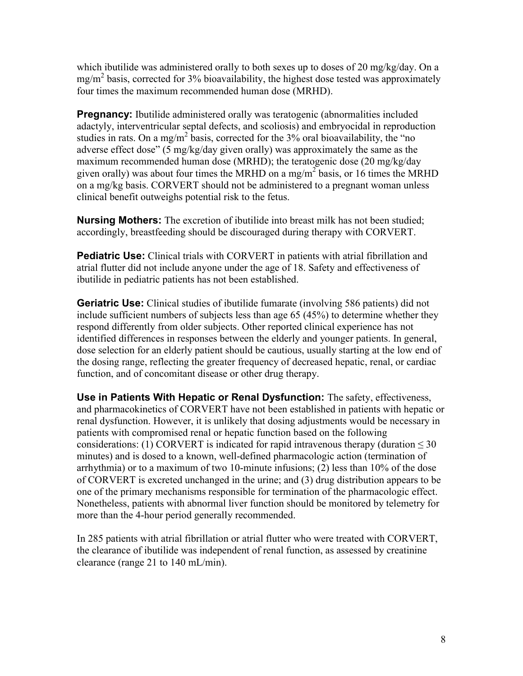which ibutilide was administered orally to both sexes up to doses of 20 mg/kg/day. On a  $mg/m<sup>2</sup>$  basis, corrected for 3% bioavailability, the highest dose tested was approximately four times the maximum recommended human dose (MRHD).

**Pregnancy:** Ibutilide administered orally was teratogenic (abnormalities included adactyly, interventricular septal defects, and scoliosis) and embryocidal in reproduction studies in rats. On a mg/m<sup>2</sup> basis, corrected for the  $3\%$  oral bioavailability, the "no adverse effect dose" (5 mg/kg/day given orally) was approximately the same as the maximum recommended human dose (MRHD); the teratogenic dose (20 mg/kg/day given orally) was about four times the MRHD on a mg/m<sup>2</sup> basis, or 16 times the MRHD on a mg/kg basis. CORVERT should not be administered to a pregnant woman unless clinical benefit outweighs potential risk to the fetus.

**Nursing Mothers:** The excretion of ibutilide into breast milk has not been studied; accordingly, breastfeeding should be discouraged during therapy with CORVERT.

**Pediatric Use:** Clinical trials with CORVERT in patients with atrial fibrillation and atrial flutter did not include anyone under the age of 18. Safety and effectiveness of ibutilide in pediatric patients has not been established.

**Geriatric Use:** Clinical studies of ibutilide fumarate (involving 586 patients) did not include sufficient numbers of subjects less than age 65 (45%) to determine whether they respond differently from older subjects. Other reported clinical experience has not identified differences in responses between the elderly and younger patients. In general, dose selection for an elderly patient should be cautious, usually starting at the low end of the dosing range, reflecting the greater frequency of decreased hepatic, renal, or cardiac function, and of concomitant disease or other drug therapy.

**Use in Patients With Hepatic or Renal Dysfunction:** The safety, effectiveness, and pharmacokinetics of CORVERT have not been established in patients with hepatic or renal dysfunction. However, it is unlikely that dosing adjustments would be necessary in patients with compromised renal or hepatic function based on the following considerations: (1) CORVERT is indicated for rapid intravenous therapy (duration  $\leq 30$ minutes) and is dosed to a known, well-defined pharmacologic action (termination of arrhythmia) or to a maximum of two 10-minute infusions; (2) less than 10% of the dose of CORVERT is excreted unchanged in the urine; and (3) drug distribution appears to be one of the primary mechanisms responsible for termination of the pharmacologic effect. Nonetheless, patients with abnormal liver function should be monitored by telemetry for more than the 4-hour period generally recommended.

In 285 patients with atrial fibrillation or atrial flutter who were treated with CORVERT, the clearance of ibutilide was independent of renal function, as assessed by creatinine clearance (range 21 to 140 mL/min).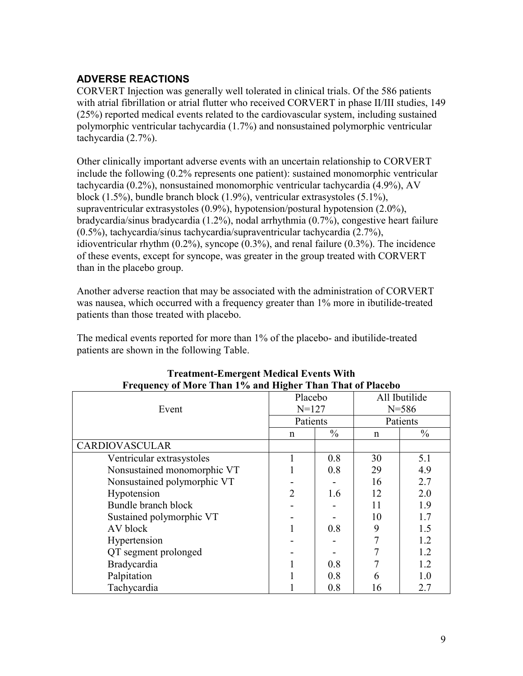# **ADVERSE REACTIONS**

CORVERT Injection was generally well tolerated in clinical trials. Of the 586 patients with atrial fibrillation or atrial flutter who received CORVERT in phase II/III studies, 149 (25%) reported medical events related to the cardiovascular system, including sustained polymorphic ventricular tachycardia (1.7%) and nonsustained polymorphic ventricular tachycardia (2.7%).

Other clinically important adverse events with an uncertain relationship to CORVERT include the following (0.2% represents one patient): sustained monomorphic ventricular tachycardia (0.2%), nonsustained monomorphic ventricular tachycardia (4.9%), AV block (1.5%), bundle branch block (1.9%), ventricular extrasystoles (5.1%), supraventricular extrasystoles (0.9%), hypotension/postural hypotension (2.0%), bradycardia/sinus bradycardia (1.2%), nodal arrhythmia (0.7%), congestive heart failure (0.5%), tachycardia/sinus tachycardia/supraventricular tachycardia (2.7%), idioventricular rhythm (0.2%), syncope (0.3%), and renal failure (0.3%). The incidence of these events, except for syncope, was greater in the group treated with CORVERT than in the placebo group.

Another adverse reaction that may be associated with the administration of CORVERT was nausea, which occurred with a frequency greater than 1% more in ibutilide-treated patients than those treated with placebo.

The medical events reported for more than 1% of the placebo- and ibutilide-treated patients are shown in the following Table.

| Frequency of More Than 1% and Higher Than That of Placebo |                             |               |               |               |
|-----------------------------------------------------------|-----------------------------|---------------|---------------|---------------|
|                                                           | Placebo                     |               | All Ibutilide |               |
| Event                                                     | $N = 127$                   |               | $N = 586$     |               |
|                                                           | Patients                    |               | Patients      |               |
|                                                           | $\mathsf{n}$                | $\frac{0}{0}$ | n             | $\frac{0}{0}$ |
| <b>CARDIOVASCULAR</b>                                     |                             |               |               |               |
| Ventricular extrasystoles                                 |                             | 0.8           | 30            | 5.1           |
| Nonsustained monomorphic VT                               |                             | 0.8           | 29            | 4.9           |
| Nonsustained polymorphic VT                               |                             |               | 16            | 2.7           |
| Hypotension                                               | $\mathcal{D}_{\mathcal{L}}$ | 1.6           | 12            | 2.0           |
| Bundle branch block                                       |                             |               | 11            | 1.9           |
| Sustained polymorphic VT                                  |                             |               | 10            | 1.7           |
| AV block                                                  |                             | 0.8           | 9             | 1.5           |
| Hypertension                                              |                             |               | 7             | 1.2           |
| QT segment prolonged                                      |                             |               |               | 1.2           |
| Bradycardia                                               |                             | 0.8           |               | 1.2           |
| Palpitation                                               |                             | 0.8           | 6             | 1.0           |
| Tachycardia                                               |                             | 0.8           | 16            | 2.7           |

# **Treatment-Emergent Medical Events With**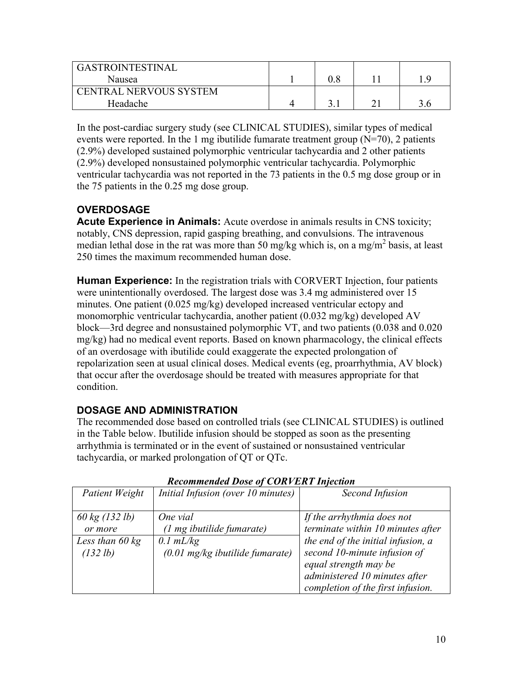| GASTROINTESTINAL              |  |     |
|-------------------------------|--|-----|
| Nausea                        |  | - Q |
| <b>CENTRAL NERVOUS SYSTEM</b> |  |     |
| Headache                      |  |     |

In the post-cardiac surgery study (see CLINICAL STUDIES), similar types of medical events were reported. In the 1 mg ibutilide fumarate treatment group  $(N=70)$ , 2 patients (2.9%) developed sustained polymorphic ventricular tachycardia and 2 other patients (2.9%) developed nonsustained polymorphic ventricular tachycardia. Polymorphic ventricular tachycardia was not reported in the 73 patients in the 0.5 mg dose group or in the 75 patients in the 0.25 mg dose group.

# **OVERDOSAGE**

**Acute Experience in Animals:** Acute overdose in animals results in CNS toxicity; notably, CNS depression, rapid gasping breathing, and convulsions. The intravenous median lethal dose in the rat was more than 50 mg/kg which is, on a mg/m<sup>2</sup> basis, at least 250 times the maximum recommended human dose.

**Human Experience:** In the registration trials with CORVERT Injection, four patients were unintentionally overdosed. The largest dose was 3.4 mg administered over 15 minutes. One patient (0.025 mg/kg) developed increased ventricular ectopy and monomorphic ventricular tachycardia, another patient (0.032 mg/kg) developed AV block—3rd degree and nonsustained polymorphic VT, and two patients (0.038 and 0.020 mg/kg) had no medical event reports. Based on known pharmacology, the clinical effects of an overdosage with ibutilide could exaggerate the expected prolongation of repolarization seen at usual clinical doses. Medical events (eg, proarrhythmia, AV block) that occur after the overdosage should be treated with measures appropriate for that condition.

# **DOSAGE AND ADMINISTRATION**

The recommended dose based on controlled trials (see CLINICAL STUDIES) is outlined in the Table below. Ibutilide infusion should be stopped as soon as the presenting arrhythmia is terminated or in the event of sustained or nonsustained ventricular tachycardia, or marked prolongation of QT or QTc.

| Patient Weight            | Initial Infusion (over 10 minutes)        | Second Infusion                    |
|---------------------------|-------------------------------------------|------------------------------------|
|                           |                                           |                                    |
| 60 kg (132 lb)            | One vial                                  | If the arrhythmia does not         |
| or more                   | (1 mg ibutilide fumarate)                 | terminate within 10 minutes after  |
| Less than $60 \text{ kg}$ | $0.1$ mL/kg                               | the end of the initial infusion, a |
| (132 lb)                  | $(0.01 \text{ mg/kg}$ ibutilide fumarate) | second 10-minute infusion of       |
|                           |                                           | equal strength may be              |
|                           |                                           | administered 10 minutes after      |
|                           |                                           | completion of the first infusion.  |

# *Recommended Dose of CORVERT Injection*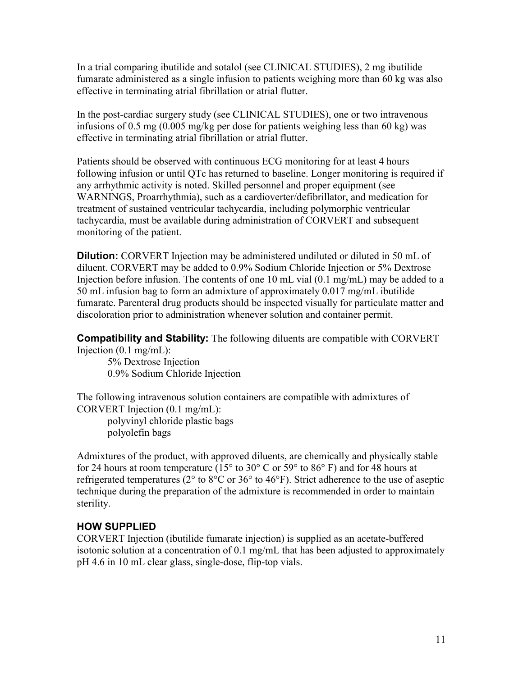In a trial comparing ibutilide and sotalol (see CLINICAL STUDIES), 2 mg ibutilide fumarate administered as a single infusion to patients weighing more than 60 kg was also effective in terminating atrial fibrillation or atrial flutter.

In the post-cardiac surgery study (see CLINICAL STUDIES), one or two intravenous infusions of 0.5 mg (0.005 mg/kg per dose for patients weighing less than 60 kg) was effective in terminating atrial fibrillation or atrial flutter.

Patients should be observed with continuous ECG monitoring for at least 4 hours following infusion or until QTc has returned to baseline. Longer monitoring is required if any arrhythmic activity is noted. Skilled personnel and proper equipment (see WARNINGS, Proarrhythmia), such as a cardioverter/defibrillator, and medication for treatment of sustained ventricular tachycardia, including polymorphic ventricular tachycardia, must be available during administration of CORVERT and subsequent monitoring of the patient.

**Dilution:** CORVERT Injection may be administered undiluted or diluted in 50 mL of diluent. CORVERT may be added to 0.9% Sodium Chloride Injection or 5% Dextrose Injection before infusion. The contents of one 10 mL vial (0.1 mg/mL) may be added to a 50 mL infusion bag to form an admixture of approximately 0.017 mg/mL ibutilide fumarate. Parenteral drug products should be inspected visually for particulate matter and discoloration prior to administration whenever solution and container permit.

**Compatibility and Stability:** The following diluents are compatible with CORVERT Injection  $(0.1 \text{ mg/mL})$ :

5% Dextrose Injection 0.9% Sodium Chloride Injection

The following intravenous solution containers are compatible with admixtures of CORVERT Injection (0.1 mg/mL):

polyvinyl chloride plastic bags polyolefin bags

Admixtures of the product, with approved diluents, are chemically and physically stable for 24 hours at room temperature ( $15^{\circ}$  to  $30^{\circ}$  C or  $59^{\circ}$  to  $86^{\circ}$  F) and for 48 hours at refrigerated temperatures (2° to 8°C or 36° to 46°F). Strict adherence to the use of aseptic technique during the preparation of the admixture is recommended in order to maintain sterility.

# **HOW SUPPLIED**

CORVERT Injection (ibutilide fumarate injection) is supplied as an acetate-buffered isotonic solution at a concentration of 0.1 mg/mL that has been adjusted to approximately pH 4.6 in 10 mL clear glass, single-dose, flip-top vials.